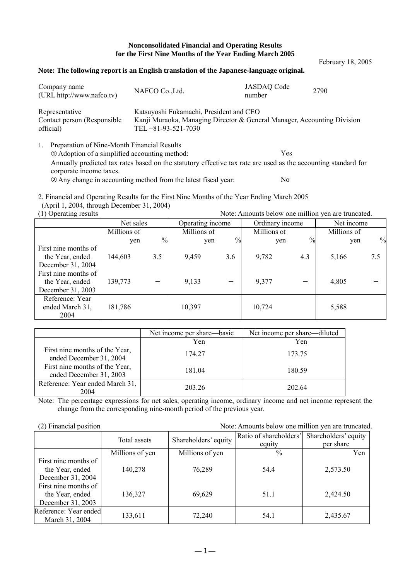## **Nonconsolidated Financial and Operating Results for the First Nine Months of the Year Ending March 2005**

**Note: The following report is an English translation of the Japanese-language original.** Company name Company name<br>
(URL http://www.nafco.tv) NAFCO Co.,Ltd. JASDAQ Code<br>
number Example 1880<br>number 2790 Representative Contact person (Responsible official) Katsuyoshi Fukamachi, President and CEO Kanji Muraoka, Managing Director & General Manager, Accounting Division TEL +81-93-521-7030 1. Preparation of Nine-Month Financial Results Adoption of a simplified accounting method: Yes

Annually predicted tax rates based on the statutory effective tax rate are used as the accounting standard for corporate income taxes.

Any change in accounting method from the latest fiscal year: No

2. Financial and Operating Results for the First Nine Months of the Year Ending March 2005 (April 1, 2004, through December 31, 2004)

(1) Operating results Note: Amounts below one million yen are truncated.

2004

Net sales Operating income Ordinary income Net income Millions of  $\gamma$ en % Millions of yen % Millions of yen % Millions of yen % First nine months of the Year, ended December 31, 2004 144,603 3.5 9,459 3.6 9,782 4.3 5,166 7.5 First nine months of the Year, ended December 31, 2003 139,773 9,133 9,377 4,805 Reference: Year ended March 31, 181,786 10,397 10,724 5,588

|                                                                                                                        | Net income per share—basic | Net income per share—diluted |  |  |
|------------------------------------------------------------------------------------------------------------------------|----------------------------|------------------------------|--|--|
|                                                                                                                        | Yen                        | Yen                          |  |  |
| First nine months of the Year,<br>ended December 31, 2004<br>First nine months of the Year,<br>ended December 31, 2003 | 174.27                     | 173.75                       |  |  |
|                                                                                                                        | 181.04                     | 180.59                       |  |  |
| Reference: Year ended March 31,<br>2004                                                                                | 203.26                     | 202.64                       |  |  |

Note: The percentage expressions for net sales, operating income, ordinary income and net income represent the change from the corresponding nine-month period of the previous year.

| (2) Financial position<br>Note: Amounts below one million yen are truncated. |                 |                      |                        |                      |  |  |  |
|------------------------------------------------------------------------------|-----------------|----------------------|------------------------|----------------------|--|--|--|
|                                                                              | Total assets    | Shareholders' equity | Ratio of shareholders' | Shareholders' equity |  |  |  |
|                                                                              |                 |                      | equity                 | per share            |  |  |  |
|                                                                              | Millions of yen | Millions of yen      | $\%$                   | Yen                  |  |  |  |
| First nine months of                                                         |                 |                      |                        |                      |  |  |  |
| the Year, ended                                                              | 140,278         | 76,289               | 54.4                   | 2,573.50             |  |  |  |
| December 31, 2004                                                            |                 |                      |                        |                      |  |  |  |
| First nine months of                                                         |                 |                      |                        |                      |  |  |  |
| the Year, ended                                                              | 136,327         | 69,629               | 51.1                   | 2,424.50             |  |  |  |
| December 31, 2003                                                            |                 |                      |                        |                      |  |  |  |
| Reference: Year ended                                                        | 133,611         | 72,240               | 54.1                   |                      |  |  |  |
| March 31, 2004                                                               |                 |                      |                        | 2,435.67             |  |  |  |

February 18, 2005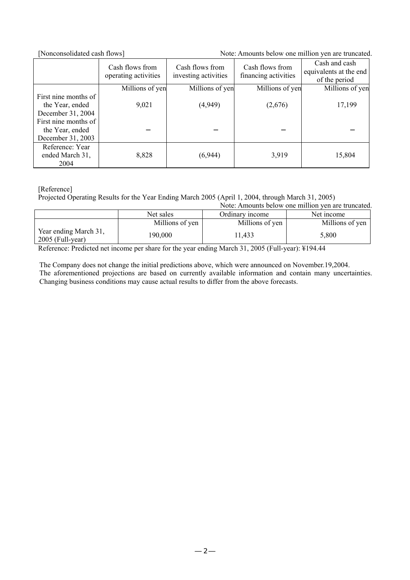[Nonconsolidated cash flows] Note: Amounts below one million yen are truncated.

|                      | Cash flows from<br>operating activities | Cash flows from<br>investing activities | Cash flows from<br>financing activities | Cash and cash<br>equivalents at the end<br>of the period |
|----------------------|-----------------------------------------|-----------------------------------------|-----------------------------------------|----------------------------------------------------------|
|                      | Millions of yen                         | Millions of yen                         | Millions of yen                         | Millions of yen                                          |
| First nine months of |                                         |                                         |                                         |                                                          |
| the Year, ended      | 9,021                                   | (4,949)                                 | (2,676)                                 | 17,199                                                   |
| December 31, 2004    |                                         |                                         |                                         |                                                          |
| First nine months of |                                         |                                         |                                         |                                                          |
| the Year, ended      |                                         |                                         |                                         |                                                          |
| December 31, 2003    |                                         |                                         |                                         |                                                          |
| Reference: Year      |                                         |                                         |                                         |                                                          |
| ended March 31,      | 8,828                                   | (6,944)                                 | 3,919                                   | 15,804                                                   |
| 2004                 |                                         |                                         |                                         |                                                          |

[Reference]

Projected Operating Results for the Year Ending March 2005 (April 1, 2004, through March 31, 2005)

|                                             |                                            | Note: Amounts below one million yen are truncated. |                 |  |  |  |
|---------------------------------------------|--------------------------------------------|----------------------------------------------------|-----------------|--|--|--|
|                                             | Net sales<br>Net income<br>Ordinary income |                                                    |                 |  |  |  |
|                                             | Millions of yen                            | Millions of yen                                    | Millions of yen |  |  |  |
| Year ending March 31,<br>$2005$ (Full-year) | 190.000                                    | 1,433                                              | 5,800           |  |  |  |

Reference: Predicted net income per share for the year ending March 31, 2005 (Full-year): ¥194.44

The Company does not change the initial predictions above, which were announced on November.19,2004. The aforementioned projections are based on currently available information and contain many uncertainties. Changing business conditions may cause actual results to differ from the above forecasts.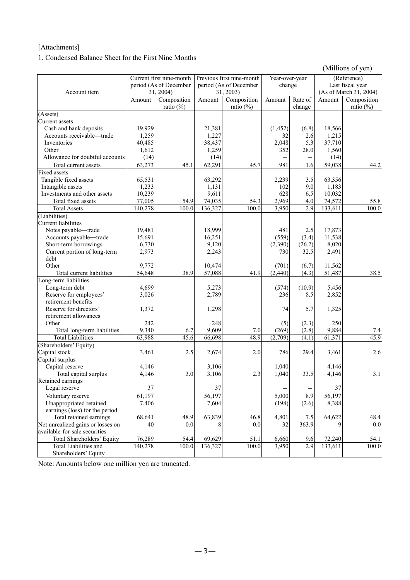## [Attachments]

1. Condensed Balance Sheet for the First Nine Months

(Millions of yen)

|                                                         |                        | Current first nine-month |                        | Previous first nine-month | Year-over-year |         |                  | (Reference)            |
|---------------------------------------------------------|------------------------|--------------------------|------------------------|---------------------------|----------------|---------|------------------|------------------------|
|                                                         | period (As of December |                          | period (As of December |                           | change         |         | Last fiscal year |                        |
| Account item                                            |                        | 31, 2004)                |                        | 31, 2003)                 |                |         |                  | (As of March 31, 2004) |
|                                                         | Amount                 | Composition              | Amount                 | Composition               | Amount         | Rate of | Amount           | Composition            |
|                                                         |                        | ratio $(\%)$             |                        | ratio $(\%)$              |                | change  |                  | ratio $(\%)$           |
| (Assets)                                                |                        |                          |                        |                           |                |         |                  |                        |
| Current assets                                          |                        |                          |                        |                           |                |         |                  |                        |
| Cash and bank deposits                                  | 19,929                 |                          | 21,381                 |                           | (1, 452)       | (6.8)   | 18,566           |                        |
| Accounts receivable-trade                               | 1,259                  |                          | 1,227                  |                           | 32             | 2.6     | 1,215            |                        |
| Inventories                                             | 40,485                 |                          | 38,437                 |                           | 2,048          | 5.3     | 37,710           |                        |
| Other                                                   | 1,612                  |                          | 1,259                  |                           | 352            | 28.0    | 1,560            |                        |
| Allowance for doubtful accounts                         | (14)                   |                          | (14)                   |                           |                |         | (14)             |                        |
| Total current assets                                    | 63,273                 | 45.1                     | 62,291                 | 45.7                      | 981            | 1.6     | 59,038           | 44.2                   |
| <b>Fixed assets</b>                                     |                        |                          |                        |                           |                |         |                  |                        |
| Tangible fixed assets                                   | 65,531                 |                          | 63,292                 |                           | 2,239          | 3.5     | 63,356           |                        |
| Intangible assets                                       | 1,233                  |                          | 1,131                  |                           | 102            | 9.0     | 1,183            |                        |
| Investments and other assets                            | 10,239                 |                          | 9,611                  |                           | 628            | 6.5     | 10,032           |                        |
| Total fixed assets                                      | 77,005                 | 54.9                     | 74,035                 | 54.3                      | 2,969          | 4.0     | 74,572           | 55.8                   |
| <b>Total Assets</b>                                     | 140,278                | 100.0                    | 136,327                | 100.0                     | 3,950          | 2.9     | 133,611          | 100.0                  |
| (Liabilities)                                           |                        |                          |                        |                           |                |         |                  |                        |
| Current liabilities                                     |                        |                          |                        |                           |                |         |                  |                        |
| Notes payable-trade                                     | 19,481                 |                          | 18,999                 |                           | 481            | 2.5     | 17,873           |                        |
| Accounts payable-trade                                  | 15,691                 |                          | 16,251                 |                           | (559)          | (3.4)   | 11,538           |                        |
| Short-term borrowings                                   | 6,730                  |                          | 9,120                  |                           | (2,390)        | (26.2)  | 8,020            |                        |
| Current portion of long-term                            | 2,973                  |                          | 2,243                  |                           | 730            | 32.5    | 2,491            |                        |
| debt                                                    |                        |                          |                        |                           |                |         |                  |                        |
| Other                                                   | 9,772                  |                          | 10,474                 |                           | (701)          | (6.7)   | 11,562           |                        |
| Total current liabilities                               | 54,648                 | 38.9                     | 57,088                 | 41.9                      | (2, 440)       | (4.3)   | 51,487           | 38.5                   |
| Long-term liabilities                                   |                        |                          |                        |                           |                |         |                  |                        |
| Long-term debt                                          | 4,699                  |                          | 5,273                  |                           | (574)          | (10.9)  | 5,456            |                        |
| Reserve for employees'                                  | 3,026                  |                          | 2,789                  |                           | 236            | 8.5     | 2,852            |                        |
| retirement benefits                                     |                        |                          |                        |                           |                |         |                  |                        |
| Reserve for directors'                                  | 1,372                  |                          | 1,298                  |                           | 74             | 5.7     | 1,325            |                        |
| retirement allowances                                   |                        |                          |                        |                           |                |         |                  |                        |
| Other                                                   | 242                    |                          | 248                    |                           | (5)            | (2.3)   | 250              |                        |
| Total long-term liabilities<br><b>Total Liabilities</b> | 9,340                  | 6.7                      | 9,609                  | 7.0<br>48.9               | (269)          | (2.8)   | 9,884            | 7.4<br>45.9            |
|                                                         | 63,988                 | 45.6                     | 66,698                 |                           | (2,709)        | (4.1)   | 61,371           |                        |
| (Shareholders' Equity)                                  |                        |                          |                        |                           |                |         |                  |                        |
| Capital stock<br>Capital surplus                        | 3,461                  | 2.5                      | 2,674                  | 2.0                       | 786            | 29.4    | 3,461            | 2.6                    |
| Capital reserve                                         | 4,146                  |                          | 3,106                  |                           | 1,040          |         | 4,146            |                        |
| Total capital surplus                                   | 4,146                  | 3.0                      | 3,106                  | 2.3                       | 1,040          | 33.5    | 4,146            | 3.1                    |
| Retained earnings                                       |                        |                          |                        |                           |                |         |                  |                        |
| Legal reserve                                           | 37                     |                          | 37                     |                           |                |         | 37               |                        |
| Voluntary reserve                                       | 61,197                 |                          | 56,197                 |                           | 5,000          | 8.9     | 56,197           |                        |
| Unappropriated retained                                 | 7,406                  |                          | 7,604                  |                           | (198)          | (2.6)   | 8,388            |                        |
| earnings (loss) for the period                          |                        |                          |                        |                           |                |         |                  |                        |
| Total retained earnings                                 | 68,641                 | 48.9                     | 63,839                 | 46.8                      | 4,801          | 7.5     | 64,622           | 48.4                   |
| Net unrealized gains or losses on                       | 40                     | 0.0                      | 8                      | 0.0                       | 32             | 363.9   | 9                | 0.0                    |
| available-for-sale securities                           |                        |                          |                        |                           |                |         |                  |                        |
| Total Shareholders' Equity                              | 76,289                 | 54.4                     | 69,629                 | 51.1                      | 6,660          | 9.6     | 72,240           | 54.1                   |
| Total Liabilities and                                   | 140,278                | 100.0                    | 136,327                | 100.0                     | 3,950          | 2.9     | 133,611          | 100.0                  |
| Shareholders' Equity                                    |                        |                          |                        |                           |                |         |                  |                        |

Note: Amounts below one million yen are truncated.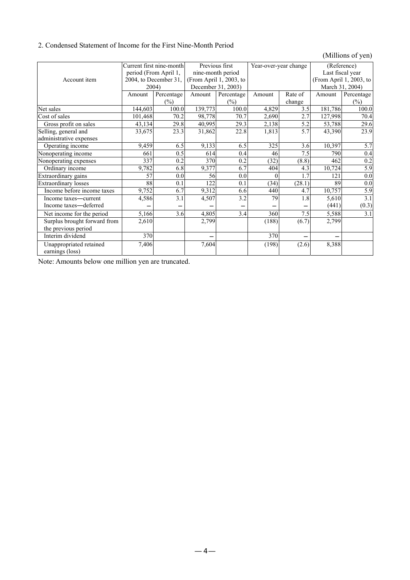## 2. Condensed Statement of Income for the First Nine-Month Period

(Millions of yen)

|                              | Current first nine-month |                       | Previous first          |                    | Year-over-year change |         | (Reference)             |                  |
|------------------------------|--------------------------|-----------------------|-------------------------|--------------------|-----------------------|---------|-------------------------|------------------|
|                              | period (From April 1,    |                       | nine-month period       |                    |                       |         | Last fiscal year        |                  |
| Account item                 |                          | 2004, to December 31, | (From April 1, 2003, to |                    |                       |         | (From April 1, 2003, to |                  |
|                              |                          | 2004)                 |                         | December 31, 2003) |                       |         | March 31, 2004)         |                  |
|                              | Amount                   | Percentage            | Amount                  | Percentage         | Amount                | Rate of | Amount                  | Percentage       |
|                              |                          | $(\%)$                |                         | $(\%)$             |                       | change  |                         | $(\%)$           |
| Net sales                    | 144,603                  | 100.0                 | 139,773                 | 100.0              | 4,829                 | 3.5     | 181,786                 | 100.0            |
| Cost of sales                | 101,468                  | 70.2                  | 98,778                  | 70.7               | 2,690                 | 2.7     | 127,998                 | 70.4             |
| Gross profit on sales        | 43,134                   | 29.8                  | 40,995                  | 29.3               | 2,138                 | 5.2     | 53,788                  | 29.6             |
| Selling, general and         | 33,675                   | 23.3                  | 31,862                  | 22.8               | 1,813                 | 5.7     | 43,390                  | 23.9             |
| administrative expenses      |                          |                       |                         |                    |                       |         |                         |                  |
| Operating income             | 9,459                    | 6.5                   | 9,133                   | 6.5                | 325                   | 3.6     | 10,397                  | 5.7              |
| Nonoperating income          | 661                      | 0.5                   | 614                     | 0.4                | 46                    | 7.5     | 790                     | 0.4              |
| Nonoperating expenses        | 337                      | 0.2                   | 370                     | 0.2                | (32)                  | (8.8)   | 462                     | 0.2              |
| Ordinary income              | 9,782                    | 6.8                   | 9,377                   | 6.7                | 404                   | 4.3     | 10,724                  | $\overline{5.9}$ |
| Extraordinary gains          | 57                       | 0.0                   | 56                      | 0.0                |                       | 1.7     | 121                     | $\overline{0.0}$ |
| <b>Extraordinary losses</b>  | 88                       | 0.1                   | 122                     | 0.1                | (34)                  | (28.1)  | 89                      | 0.0              |
| Income before income taxes   | 9,752                    | 6.7                   | 9,312                   | 6.6                | 440                   | 4.7     | 10,757                  | 5.9              |
| Income taxes—current         | 4,586                    | $\overline{3.1}$      | 4,507                   | 3.2                | 79                    | 1.8     | 5,610                   | 3.1              |
| Income taxes-deferred        |                          |                       |                         |                    |                       |         | (441)                   | (0.3)            |
| Net income for the period    | 5,166                    | 3.6                   | 4,805                   | 3.4                | 360                   | 7.5     | 5,588                   | $\overline{3.1}$ |
| Surplus brought forward from | 2,610                    |                       | 2,799                   |                    | (188)                 | (6.7)   | 2,799                   |                  |
| the previous period          |                          |                       |                         |                    |                       |         |                         |                  |
| Interim dividend             | 370                      |                       |                         |                    | 370                   |         |                         |                  |
| Unappropriated retained      | 7,406                    |                       | 7,604                   |                    | (198)                 | (2.6)   | 8,388                   |                  |
| earnings (loss)              |                          |                       |                         |                    |                       |         |                         |                  |

Note: Amounts below one million yen are truncated.